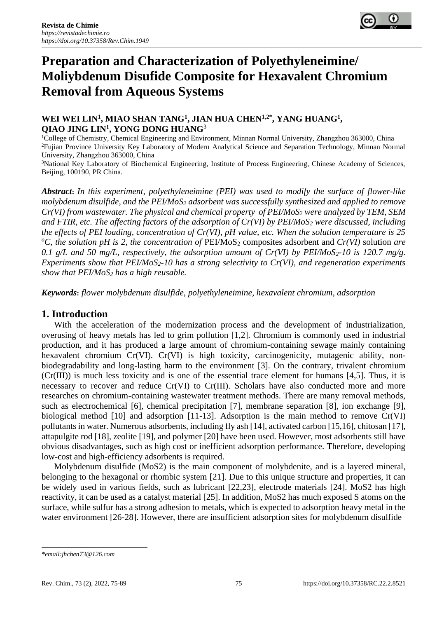

# **Preparation and Characterization of Polyethyleneimine/ Moliybdenum Disufide Composite for Hexavalent Chromium Removal from Aqueous Systems**

## **WEI WEI LIN<sup>1</sup> , MIAO SHAN TANG<sup>1</sup> , JIAN HUA CHEN1,2\* , YANG HUANG<sup>1</sup> , QIAO JING LIN<sup>1</sup> , YONG DONG HUANG**<sup>3</sup>

<sup>1</sup>College of Chemistry, Chemical Engineering and Environment, Minnan Normal University, Zhangzhou 363000, China <sup>2</sup>Fujian Province University Key Laboratory of Modern Analytical Science and Separation Technology, Minnan Normal University, Zhangzhou 363000, China

<sup>3</sup>National Key Laboratory of Biochemical Engineering, Institute of Process Engineering, Chinese Academy of Sciences, Beijing, 100190, PR China.

*Abstract***:** *In this experiment, polyethyleneimine (PEI) was used to modify the surface of flower-like molybdenum disulfide, and the PEI/MoS<sup>2</sup> adsorbent was successfully synthesized and applied to remove Cr(VI) from wastewater. The physical and chemical [property](javascript:;) of PEI/MoS<sup>2</sup> were analyzed by TEM, SEM and FTIR, etc. The affecting factors of the adsorption of Cr(VI) by PEI/MoS<sup>2</sup> were discussed, including the effects of PEI loading, concentration of Cr(VI), pH value, etc. When the solution temperature is 25*   $^{\circ}$ C, the solution pH is 2, the concentration of PEI/MoS<sub>2</sub> composites adsorbent and  $Cr(VI)$  solution *are 0.1 g/L and 50 mg/L, respectively, the adsorption amount of Cr(VI) by PEI/MoS2-10 is 120.7 mg/g. Experiments show that PEI/MoS2-10 has a strong selectivity to Cr(VI), and regeneration experiments show that PEI/MoS<sup>2</sup> has a high reusable.*

*Keywords***:** *flower molybdenum disulfide, polyethyleneimine, hexavalent chromium, adsorption*

# **1. Introduction**

With the acceleration of the modernization process and the development of industrialization, overusing of heavy metals has led to grim pollution [1,2]. Chromium is commonly used in industrial production, and it has produced a large amount of chromium-containing sewage mainly containing hexavalent chromium Cr(VI). Cr(VI) is high toxicity, carcinogenicity, mutagenic ability, nonbiodegradability and long-lasting harm to the environment [3]. On the contrary, trivalent chromium  $(Cr(III))$  is much less toxicity and is one of the essential trace element for humans [4,5]. Thus, it is necessary to recover and reduce Cr(VI) to Cr(III). Scholars have also conducted more and more researches on chromium-containing wastewater treatment methods. There are many removal methods, such as electrochemical [6], chemical precipitation [7], membrane separation [8], ion exchange [9], biological method [10] and adsorption [11-13]. Adsorption is the main method to remove Cr(VI) pollutants in water. Numerous adsorbents, including fly ash [14], activated carbon [15,16], chitosan [17], attapulgite rod [18], zeolite [19], and polymer [20] have been used. However, most adsorbents still have obvious disadvantages, such as high cost or inefficient adsorption performance. Therefore, developing low-cost and high-efficiency adsorbents is required.

Molybdenum disulfide (MoS2) is the main component of molybdenite, and is a layered mineral, belonging to the hexagonal or rhombic system [21]. Due to this unique structure and properties, it can be widely used in various fields, such as lubricant [22,23], electrode materials [24]. MoS2 has high reactivity, it can be used as a catalyst material [25]. In addition, MoS2 has much exposed S atoms on the surface, while sulfur has a strong adhesion to metals, which is expected to adsorption heavy metal in the water environment [26-28]. However, there are insufficient adsorption sites for molybdenum disulfide

*<sup>\*</sup>email[:jhchen73@126.com](mailto:jhchen73@126.com)*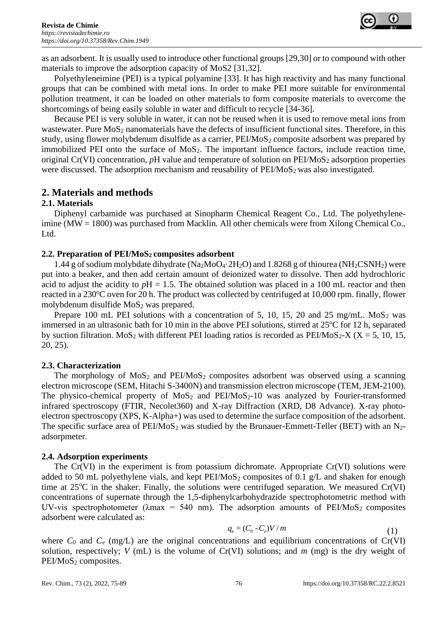as an adsorbent. It is usually used to introduce other functional groups [29,30] or to compound with other materials to improve the adsorption capacity of MoS2 [31,32].

Polyethyleneimine (PEI) is a typical polyamine [33]. It has high reactivity and has many functional groups that can be combined with metal ions. In order to make PEI more suitable for environmental pollution treatment, it can be loaded on other materials to form composite materials to overcome the shortcomings of being easily soluble in water and difficult to recycle [34-36].

Because PEI is very soluble in water, it can not be reused when it is used to remove metal ions from wastewater. Pure MoS<sub>2</sub> nanomaterials have the defects of insufficient functional sites. Therefore, in this study, using flower molybdenum disulfide as a carrier,  $PEIMoS<sub>2</sub>$  composite adsorbent was prepared by immobilized PEI onto the surface of  $MoS<sub>2</sub>$ . The important influence factors, include reaction time, original Cr(VI) concentration, *pH* value and temperature of solution on PEI/MoS<sub>2</sub> adsorption properties were discussed. The adsorption mechanism and reusability of  $PEI/MoS<sub>2</sub>$  was also investigated.

## **2. Materials and methods**

## **2.1. Materials**

Diphenyl carbamide was purchased at Sinopharm Chemical Reagent Co., Ltd. The polyethyleneimine (MW = 1800) was purchased from Macklin. All other chemicals were from Xilong Chemical Co., Ltd.

## **2.2. Preparation of PEI/MoS2 composites adsorbent**

1.44 g of sodium molybdate dihydrate (Na<sub>2</sub>MoO<sub>4</sub>·2H<sub>2</sub>O) and 1.8268 g of thiourea (NH<sub>2</sub>CSNH<sub>2</sub>) were put into a beaker, and then add certain amount of deionized water to dissolve. Then add hydrochloric acid to adjust the acidity to  $pH = 1.5$ . The obtained solution was placed in a 100 mL reactor and then reacted in a 230<sup>o</sup>C oven for 20 h. The product was collected by centrifuged at 10,000 rpm. finally, flower molybdenum disulfide MoS<sub>2</sub> was prepared.

Prepare 100 mL PEI solutions with a concentration of 5, 10, 15, 20 and 25 mg/mL. MoS<sub>2</sub> was immersed in an ultrasonic bath for 10 min in the above PEI solutions, stirred at  $25^{\circ}$ C for 12 h, separated by suction filtration. MoS<sub>2</sub> with different PEI loading ratios is recorded as PEI/MoS<sub>2</sub>-X (X = 5, 10, 15, 20, 25).

#### **2.3. Characterization**

The morphology of  $MoS<sub>2</sub>$  and  $PEI/MoS<sub>2</sub>$  composites adsorbent was observed using a scanning electron microscope (SEM, Hitachi S-3400N) and transmission electron microscope (TEM, JEM-2100). The physico-chemical property of  $MoS<sub>2</sub>$  and  $PEI/MoS<sub>2</sub>-10$  was analyzed by Fourier-transformed infrared spectroscopy (FTIR, Necolet360) and X-ray Diffraction (XRD, D8 Advance). X-ray photoelectron spectroscopy (XPS, K-Alpha+) was used to determine the surface composition of the adsorbent. The specific surface area of  $PEI/MoS<sub>2</sub>$  was studied by the Brunauer-Emmett-Teller (BET) with an N<sub>2</sub>adsorpmeter.

#### **2.4. Adsorption experiments**

The Cr(VI) in the experiment is from potassium dichromate. Appropriate Cr(VI) solutions were added to 50 mL polyethylene vials, and kept  $PEI/MoS<sub>2</sub>$  composites of 0.1 g/L and shaken for enough time at  $25^{\circ}$ C in the shaker. Finally, the solutions were centrifuged separation. We measured Cr(VI) concentrations of supernate through the 1,5-diphenylcarbohydrazide spectrophotometric method with UV-vis spectrophotometer ( $\lambda$ max = 540 nm). The adsorption amounts of PEI/MoS<sub>2</sub> composites adsorbent were calculated as:

$$
q_e = (C_0 - C_e)V/m
$$
\n<sup>(1)</sup>

where  $C_0$  and  $C_e$  (mg/L) are the original concentrations and equilibrium concentrations of Cr(VI) solution, respectively; *V* (mL) is the volume of Cr(VI) solutions; and *m* (mg) is the dry weight of PEI/MoS<sub>2</sub> composites.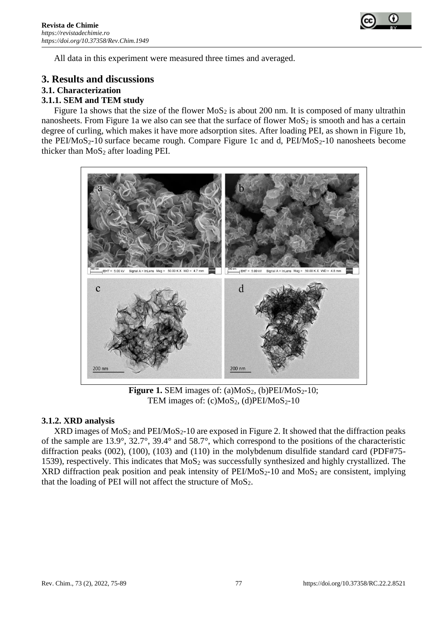

All data in this experiment were measured three times and averaged.

## **3. Results and discussions**

## **3.1. Characterization**

## **3.1.1. SEM and TEM study**

Figure 1a shows that the size of the flower MoS<sub>2</sub> is about 200 nm. It is composed of many ultrathin nanosheets. From Figure 1a we also can see that the surface of flower  $MoS<sub>2</sub>$  is smooth and has a certain degree of curling, which makes it have more adsorption sites. After loading PEI, as shown in Figure 1b, the PEI/MoS<sub>2</sub>-10 surface became rough. Compare Figure 1c and d,  $PEI/MoS<sub>2</sub>$ -10 nanosheets become thicker than  $MoS<sub>2</sub>$  after loading PEI.



**Figure 1.** SEM images of:  $(a)MoS<sub>2</sub>$ ,  $(b)PEI/MoS<sub>2</sub>$ -10; TEM images of:  $(c)MoS<sub>2</sub>$ ,  $(d)PEI/MoS<sub>2</sub>$ -10

#### **3.1.2. XRD analysis**

 $XRD$  images of  $MoS<sub>2</sub>$  and  $PEI/M<sub>0</sub>S<sub>2</sub>$ -10 are exposed in Figure 2. It showed that the diffraction peaks of the sample are 13.9°, 32.7°, 39.4° and 58.7°, which correspond to the positions of the characteristic diffraction peaks (002), (100), (103) and (110) in the molybdenum disulfide standard card (PDF#75- 1539), respectively. This indicates that  $MoS<sub>2</sub>$  was successfully synthesized and highly crystallized. The XRD diffraction peak position and peak intensity of  $PEI/MoS<sub>2</sub>-10$  and  $MoS<sub>2</sub>$  are consistent, implying that the loading of PEI will not affect the structure of  $MoS<sub>2</sub>$ .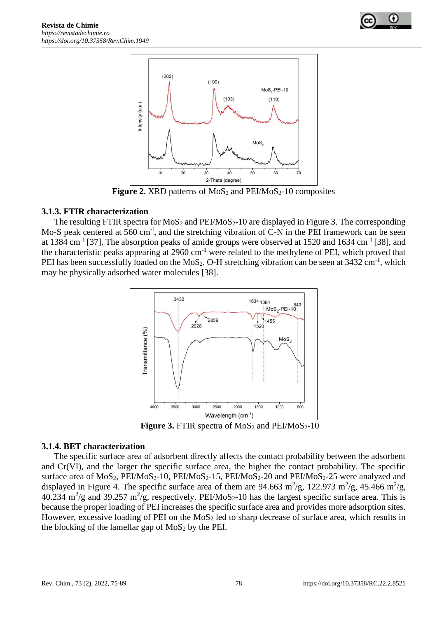



**Figure 2.** XRD patterns of  $MoS<sub>2</sub>$  and  $PEI/MoS<sub>2</sub> - 10$  composites

## **3.1.3. FTIR characterization**

The resulting FTIR spectra for  $MoS<sub>2</sub>$  and  $PEI/MoS<sub>2</sub>-10$  are displayed in Figure 3. The corresponding Mo-S peak centered at 560 cm<sup>-1</sup>, and the stretching vibration of C-N in the PEI framework can be seen at 1384 cm<sup>-1</sup> [37]. The absorption peaks of amide groups were observed at 1520 and 1634 cm<sup>-1</sup> [38], and the characteristic peaks appearing at 2960 cm-1 were related to the methylene of PEI, which proved that PEI has been successfully loaded on the MoS<sub>2</sub>. O-H stretching vibration can be seen at  $3432 \text{ cm}^{-1}$ , which may be physically adsorbed water molecules [38].



**Figure 3. FTIR spectra of MoS<sub>2</sub> and PEI/MoS<sub>2</sub>-10** 

#### **3.1.4. BET characterization**

The specific surface area of adsorbent directly affects the contact probability between the adsorbent and Cr(VI), and the larger the specific surface area, the higher the contact probability. The specific surface area of  $MoS_2$ ,  $PEI/MoS_2-10$ ,  $PEI/MoS_2-15$ ,  $PEI/MoS_2-20$  and  $PEI/MoS_2-25$  were analyzed and displayed in Figure 4. The specific surface area of them are 94.663 m<sup>2</sup>/g, 122.973 m<sup>2</sup>/g, 45.466 m<sup>2</sup>/g, 40.234 m<sup>2</sup>/g and 39.257 m<sup>2</sup>/g, respectively. PEI/MoS<sub>2</sub>-10 has the largest specific surface area. This is because the proper loading of PEI increases the specific surface area and provides more adsorption sites. However, excessive loading of PEI on the  $MoS<sub>2</sub>$  led to sharp decrease of surface area, which results in the blocking of the lamellar gap of  $MoS<sub>2</sub>$  by the PEI.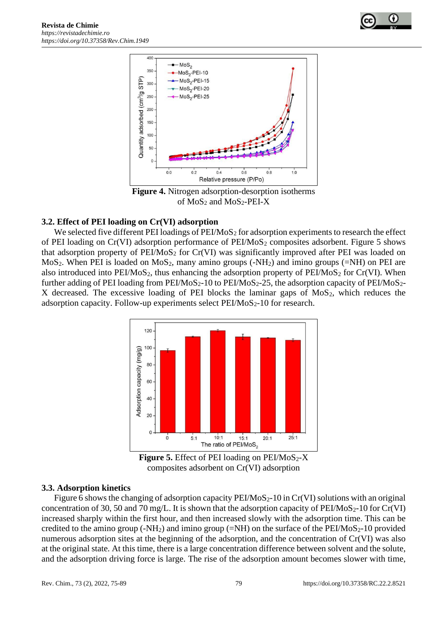



**Figure 4.** Nitrogen adsorption-desorption isotherms of  $MoS<sub>2</sub>$  and  $MoS<sub>2</sub>-PEI-X$ 

## **3.2. Effect of PEI loading on Cr(VI) adsorption**

We selected five different PEI loadings of  $PEI/MoS<sub>2</sub>$  for adsorption experiments to research the effect of PEI loading on Cr(VI) adsorption performance of PEI/MoS<sub>2</sub> composites adsorbent. Figure 5 shows that adsorption property of  $PEI/MoS<sub>2</sub>$  for Cr(VI) was significantly improved after PEI was loaded on  $MoS<sub>2</sub>$ . When PEI is loaded on  $MoS<sub>2</sub>$ , many amino groups (-NH<sub>2</sub>) and imino groups (=NH) on PEI are also introduced into  $PEIMoS<sub>2</sub>$ , thus enhancing the adsorption property of  $PEIMoS<sub>2</sub>$  for Cr(VI). When further adding of PEI loading from  $PEI/MoS<sub>2</sub>$ -10 to  $PEI/MoS<sub>2</sub>$ -25, the adsorption capacity of  $PEI/MoS<sub>2</sub>$ -X decreased. The excessive loading of PEI blocks the laminar gaps of  $MoS<sub>2</sub>$ , which reduces the adsorption capacity. Follow-up experiments select  $PEI/MoS<sub>2</sub>$ -10 for research.



**Figure 5.** Effect of PEI loading on  $PEI/MoS_2-X$ composites adsorbent on Cr(VI) adsorption

#### **3.3. Adsorption kinetics**

Figure 6 shows the changing of adsorption capacity  $PEI/MoS<sub>2</sub>$ -10 in Cr(VI) solutions with an original concentration of 30, 50 and 70 mg/L. It is shown that the adsorption capacity of  $PEIMoS<sub>2</sub>$ -10 for Cr(VI) increased sharply within the first hour, and then increased slowly with the adsorption time. This can be credited to the amino group  $(-NH_2)$  and imino group  $(=NH)$  on the surface of the PEI/MoS<sub>2</sub>-10 provided numerous adsorption sites at the beginning of the adsorption, and the concentration of Cr(VI) was also at the original state. At this time, there is a large concentration difference between solvent and the solute, and the adsorption driving force is large. The rise of the adsorption amount becomes slower with time,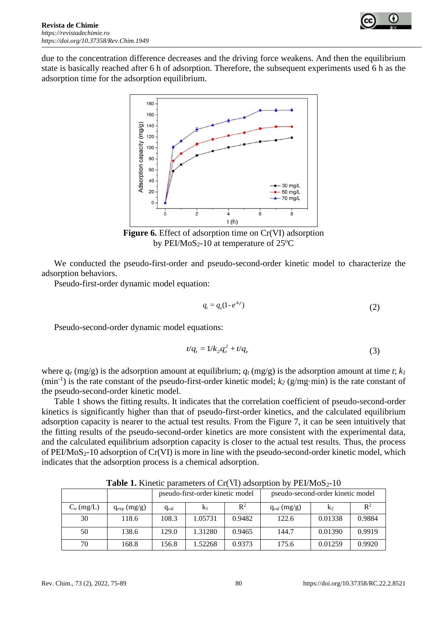

due to the concentration difference decreases and the driving force weakens. And then the equilibrium state is basically reached after 6 h of adsorption. Therefore, the subsequent experiments used 6 h as the adsorption time for the adsorption equilibrium.



**Figure 6.** Effect of adsorption time on Cr(VI) adsorption by PEI/MoS<sub>2</sub>-10 at temperature of  $25^{\circ}$ C

We conducted the pseudo-first-order and pseudo-second-order kinetic model to characterize the adsorption behaviors.

Pseudo-first-order dynamic model equation:

$$
q_t = q_e(1 - e^{-k_t t})
$$
\n<sup>(2)</sup>

Pseudo-second-order dynamic model equations:

$$
t/q_t = 1/k_2 q_e^2 + t/q_e \tag{3}
$$

where  $q_e$  (mg/g) is the adsorption amount at equilibrium;  $q_t$  (mg/g) is the adsorption amount at time *t*;  $k_l$  $(\text{min}^{-1})$  is the rate constant of the pseudo-first-order kinetic model;  $k_2$  ( $g/mg·min$ ) is the rate constant of the pseudo-second-order kinetic model.

Table 1 shows the fitting results. It indicates that the correlation coefficient of pseudo-second-order kinetics is significantly higher than that of pseudo-first-order kinetics, and the calculated equilibrium adsorption capacity is nearer to the actual test results. From the Figure 7, it can be seen intuitively that the fitting results of the pseudo-second-order kinetics are more consistent with the experimental data, and the calculated equilibrium adsorption capacity is closer to the actual test results. Thus, the process of PEI/MoS2-10 adsorption of Cr(VI) is more in line with the pseudo-second-order kinetic model, which indicates that the adsorption process is a chemical adsorption.

|              |                 | pseudo-first-order kinetic model |         |                | pseudo-second-order kinetic model |         |                |
|--------------|-----------------|----------------------------------|---------|----------------|-----------------------------------|---------|----------------|
| $C_o$ (mg/L) | $q_{exp}(mg/g)$ | $q_{cal}$                        | $K_1$   | $\mathbb{R}^2$ | $q_{cal}$ (mg/g)                  | $K_2$   | $\mathbb{R}^2$ |
| 30           | 118.6           | 108.3                            | 1.05731 | 0.9482         | 122.6                             | 0.01338 | 0.9884         |
| 50           | 138.6           | 129.0                            | 1.31280 | 0.9465         | 144.7                             | 0.01390 | 0.9919         |
| 70           | 168.8           | 156.8                            | 1.52268 | 0.9373         | 175.6                             | 0.01259 | 0.9920         |

**Table 1.** Kinetic parameters of Cr(VI) adsorption by PEI/MoS<sub>2</sub>-10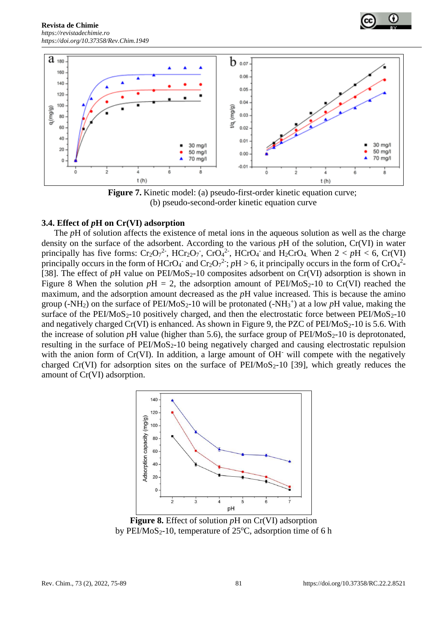



**Figure 7.** Kinetic model: (a) pseudo-first-order kinetic equation curve; (b) pseudo-second-order kinetic equation curve

#### **3.4. Effect of** *p***H on Cr(VI) adsorption**

The *pH* of solution affects the existence of metal ions in the aqueous solution as well as the charge density on the surface of the adsorbent. According to the various *p*H of the solution, Cr(VI) in water principally has five forms:  $Cr_2O_7^2$ ,  $HCr_2O_7$ ,  $CrO_4^2$ ,  $HCrO_4$  and  $H_2CrO_4$ . When  $2 < pH < 6$ ,  $Cr(VI)$ principally occurs in the form of HCrO<sub>4</sub><sup>-</sup> and Cr<sub>2</sub>O<sub>7</sub><sup>2-</sup>;  $pH > 6$ , it principally occurs in the form of CrO<sub>4</sub><sup>2</sup>-[38]. The effect of  $pH$  value on  $PEIMoS<sub>2</sub>$ -10 composites adsorbent on  $Cr(VI)$  adsorption is shown in Figure 8 When the solution  $pH = 2$ , the adsorption amount of PEI/MoS<sub>2</sub>-10 to Cr(VI) reached the maximum, and the adsorption amount decreased as the *p*H value increased. This is because the amino group (-NH<sub>2</sub>) on the surface of PEI/MoS<sub>2</sub>-10 will be protonated (-NH<sub>3</sub><sup>+</sup>) at a low pH value, making the surface of the PEI/MoS<sub>2</sub>-10 positively charged, and then the electrostatic force between PEI/MoS<sub>2</sub>-10 and negatively charged Cr(VI) is enhanced. As shown in Figure 9, the PZC of PEI/MoS<sub>2</sub>-10 is 5.6. With the increase of solution  $pH$  value (higher than 5.6), the surface group of  $PEI/MoS<sub>2</sub>$ -10 is deprotonated, resulting in the surface of  $PEIMoS<sub>2</sub>$ -10 being negatively charged and causing electrostatic repulsion with the anion form of Cr(VI). In addition, a large amount of OH<sup>-</sup> will compete with the negatively charged Cr(VI) for adsorption sites on the surface of  $PEI/MoS<sub>2</sub>-10$  [39], which greatly reduces the amount of Cr(VI) adsorption.



**Figure 8.** Effect of solution *p*H on Cr(VI) adsorption by PEI/MoS<sub>2</sub>-10, temperature of  $25^{\circ}$ C, adsorption time of 6 h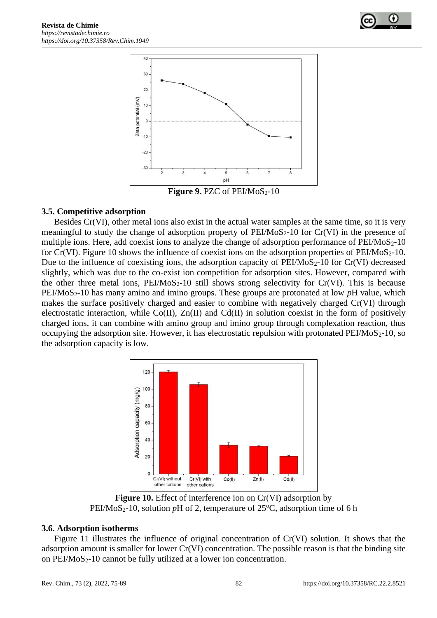



## **3.5. Competitive adsorption**

Besides Cr(VI), other metal ions also exist in the actual water samples at the same time, so it is very meaningful to study the change of adsorption property of  $PEIMoS<sub>2</sub>$ -10 for  $Cr(VI)$  in the presence of multiple ions. Here, add coexist ions to analyze the change of adsorption performance of  $PEI/MoS<sub>2</sub>$ -10 for Cr(VI). Figure 10 shows the influence of coexist ions on the adsorption properties of  $PEI/MoS<sub>2</sub>-10$ . Due to the influence of coexisting ions, the adsorption capacity of  $PEI/MoS<sub>2</sub>$ -10 for Cr(VI) decreased slightly, which was due to the co-exist ion competition for adsorption sites. However, compared with the other three metal ions,  $PEIMoS<sub>2</sub>$ -10 still shows strong selectivity for Cr(VI). This is because PEI/MoS2-10 has many amino and imino groups. These groups are protonated at low *p*H value, which makes the surface positively charged and easier to combine with negatively charged Cr(VI) through electrostatic interaction, while Co(II), Zn(II) and Cd(II) in solution coexist in the form of positively charged ions, it can combine with amino group and imino group through complexation reaction, thus occupying the adsorption site. However, it has electrostatic repulsion with protonated  $PEIMoS<sub>2</sub>$ -10, so the adsorption capacity is low.



**Figure 10.** Effect of interference ion on Cr(VI) adsorption by  $PEI/MoS<sub>2</sub>$ -10, solution pH of 2, temperature of 25<sup>o</sup>C, adsorption time of 6 h

#### **3.6. Adsorption isotherms**

Figure 11 illustrates the influence of original concentration of Cr(VI) solution. It shows that the adsorption amount is smaller for lower Cr(VI) concentration. The possible reason is that the binding site on PEI/MoS2-10 cannot be fully utilized at a lower ion concentration.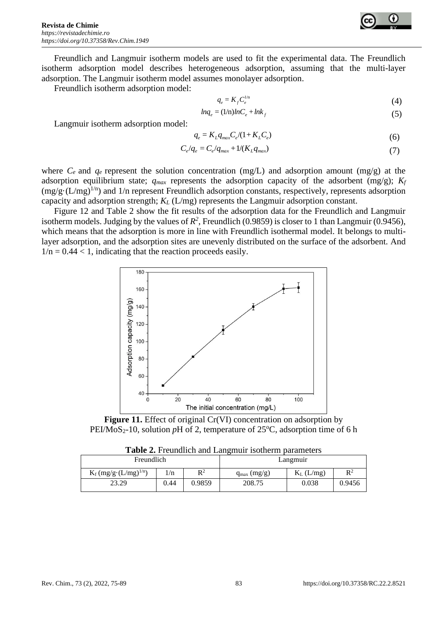

Freundlich and Langmuir isotherm models are used to fit the experimental data. The Freundlich isotherm adsorption model describes heterogeneous adsorption, assuming that the multi-layer adsorption. The Langmuir isotherm model assumes monolayer adsorption.

Freundlich isotherm adsorption model:

$$
q_e = K_f C_e^{1/n} \tag{4}
$$

$$
lnq_e = (1/n)lnC_e + lnk_f
$$
\n(5)

Langmuir isotherm adsorption model:

$$
q_e = K_L q_{max} C_e / (1 + K_L C_e) \tag{6}
$$

$$
C_e/q_e = C_e/q_{max} + 1/(K_L q_{max})
$$
\n(7)

where  $C_e$  and  $q_e$  represent the solution concentration (mg/L) and adsorption amount (mg/g) at the adsorption equilibrium state;  $q_{max}$  represents the adsorption capacity of the adsorbent (mg/g);  $K_f$  $(mg/g \cdot (L/mg)^{1/n})$  and 1/n represent Freundlich adsorption constants, respectively, represents adsorption capacity and adsorption strength; *K<sup>L</sup>* (L/mg) represents the Langmuir adsorption constant.

Figure 12 and Table 2 show the fit results of the adsorption data for the Freundlich and Langmuir isotherm models. Judging by the values of  $R^2$ , Freundlich (0.9859) is closer to 1 than Langmuir (0.9456), which means that the adsorption is more in line with Freundlich isothermal model. It belongs to multilayer adsorption, and the adsorption sites are unevenly distributed on the surface of the adsorbent. And  $1/n = 0.44 < 1$ , indicating that the reaction proceeds easily.



**Figure 11.** Effect of original Cr(VI) concentration on adsorption by PEI/MoS<sub>2</sub>-10, solution *p*H of 2, temperature of  $25^{\circ}$ C, adsorption time of 6 h

|  |  | Table 2. Freundlich and Langmuir isotherm parameters |
|--|--|------------------------------------------------------|
|  |  |                                                      |

| Freundlich                      |       |        | Langmuir        |              |        |  |
|---------------------------------|-------|--------|-----------------|--------------|--------|--|
| $K_f (mg/g \cdot (L/mg)^{1/n})$ | $\ln$ | $R^2$  | $q_{max}(mg/g)$ | $K_L$ (L/mg) | $R^2$  |  |
| 23.29                           | 0.44  | 0.9859 | 208.75          | 0.038        | 0.9456 |  |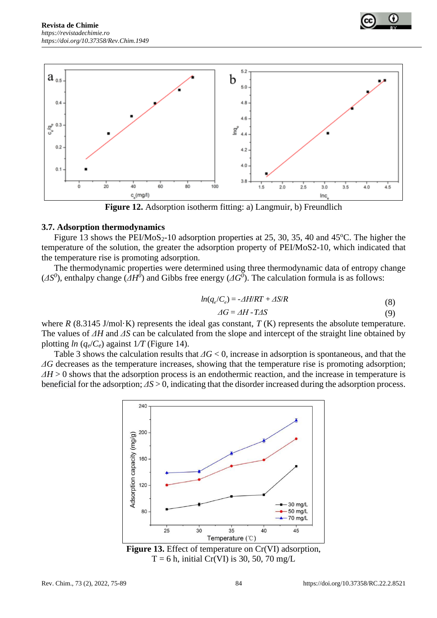



**Figure 12.** Adsorption isotherm fitting: a) Langmuir, b) Freundlich

#### **3.7. Adsorption thermodynamics**

Figure 13 shows the PEI/MoS<sub>2</sub>-10 adsorption properties at 25, 30, 35, 40 and 45<sup>o</sup>C. The higher the temperature of the solution, the greater the adsorption property of PEI/MoS2-10, which indicated that the temperature rise is promoting adsorption.

The thermodynamic properties were determined using three thermodynamic data of entropy change  $(\Delta S^0)$ , enthalpy change  $(\Delta H^0)$  and Gibbs free energy  $(\Delta G^0)$ . The calculation formula is as follows:

$$
ln(q_e/C_e) = -\Delta H/RT + \Delta S/R
$$
\n(8)

$$
\Delta G = \Delta H - T \Delta S \tag{9}
$$

where *R* (8.3145 J/mol·K) represents the ideal gas constant, *T* (K) represents the absolute temperature. The values of *ΔH* and *ΔS* can be calculated from the slope and intercept of the straight line obtained by plotting  $ln (q_e/C_e)$  against  $1/T$  (Figure 14).

Table 3 shows the calculation results that *ΔG* < 0, increase in adsorption is spontaneous, and that the *ΔG* decreases as the temperature increases, showing that the temperature rise is promoting adsorption; *ΔH* > 0 shows that the adsorption process is an endothermic reaction, and the increase in temperature is beneficial for the adsorption; *ΔS* > 0, indicating that the disorder increased during the adsorption process.



**Figure 13.** Effect of temperature on Cr(VI) adsorption,  $T = 6$  h, initial Cr(VI) is 30, 50, 70 mg/L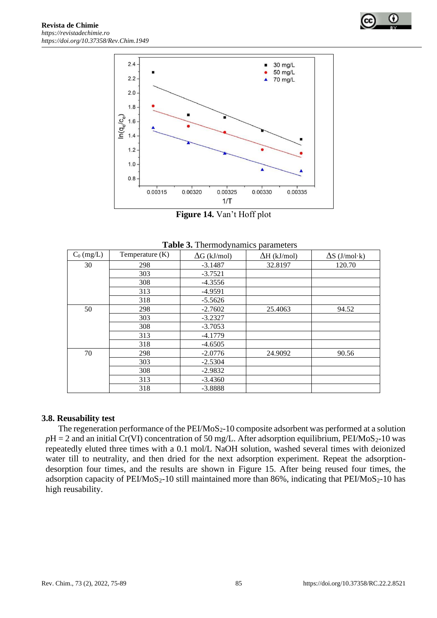



**Figure 14.** Van't Hoff plot

| $C_0$ (mg/L) | Temperature (K) | $\Delta G$ (kJ/mol) | $\Delta H$ (kJ/mol) | $\Delta S$ (J/mol·k) |
|--------------|-----------------|---------------------|---------------------|----------------------|
| 30           | 298             | $-3.1487$           | 32.8197             | 120.70               |
|              | 303             | $-3.7521$           |                     |                      |
|              | 308             | $-4.3556$           |                     |                      |
|              | 313             | $-4.9591$           |                     |                      |
|              | 318             | $-5.5626$           |                     |                      |
| 50           | 298             | $-2.7602$           | 25.4063             | 94.52                |
|              | 303             | $-3.2327$           |                     |                      |
|              | 308             | $-3.7053$           |                     |                      |
|              | 313             | $-4.1779$           |                     |                      |
|              | 318             | $-4.6505$           |                     |                      |
| 70           | 298             | $-2.0776$           | 24.9092             | 90.56                |
|              | 303             | $-2.5304$           |                     |                      |
|              | 308             | $-2.9832$           |                     |                      |
|              | 313             | $-3.4360$           |                     |                      |
|              | 318             | $-3.8888$           |                     |                      |

**Table 3.** Thermodynamics parameters

#### **3.8. Reusability test**

The regeneration performance of the  $PEI/MoS<sub>2</sub>$ -10 composite adsorbent was performed at a solution  $pH = 2$  and an initial Cr(VI) concentration of 50 mg/L. After adsorption equilibrium, PEI/MoS<sub>2</sub>-10 was repeatedly eluted three times with a 0.1 mol/L NaOH solution, washed several times with deionized water till to neutrality, and then dried for the next adsorption experiment. Repeat the adsorptiondesorption four times, and the results are shown in Figure 15. After being reused four times, the adsorption capacity of PEI/MoS<sub>2</sub>-10 still maintained more than 86%, indicating that PEI/MoS<sub>2</sub>-10 has high reusability.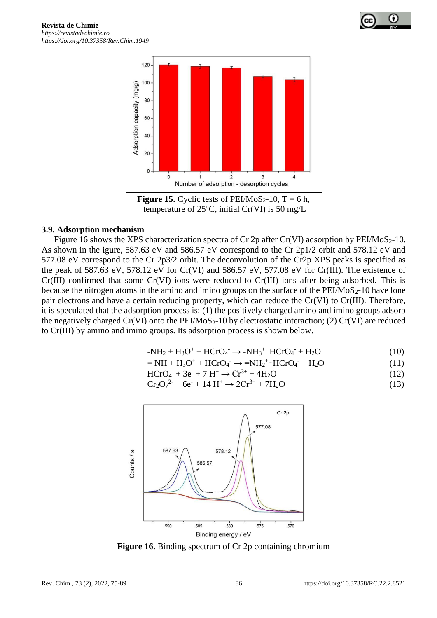



**Figure 15.** Cyclic tests of PEI/MoS<sub>2</sub>-10,  $T = 6$  h, temperature of 25 $\degree$ C, initial Cr(VI) is 50 mg/L

#### **3.9. Adsorption mechanism**

Figure 16 shows the XPS characterization spectra of Cr 2p after Cr(VI) adsorption by PEI/MoS<sub>2</sub>-10. As shown in the igure, 587.63 eV and 586.57 eV correspond to the Cr 2p1/2 orbit and 578.12 eV and 577.08 eV correspond to the Cr 2p3/2 orbit. The deconvolution of the Cr2p XPS peaks is specified as the peak of 587.63 eV, 578.12 eV for Cr(VI) and 586.57 eV, 577.08 eV for Cr(III). The existence of Cr(III) [confirmed](javascript:;) that some Cr(VI) ions were reduced to Cr(III) ions after being adsorbed. This is because the nitrogen atoms in the amino and imino groups on the surface of the  $PEI/MoS<sub>2</sub>$ -10 have lone pair electrons and have a certain reducing property, which can reduce the Cr(VI) to Cr(III). Therefore, it is speculated that the adsorption process is: (1) the positively charged amino and imino groups adsorb the negatively charged  $Cr(VI)$  onto the PEI/MoS<sub>2</sub>-10 by electrostatic interaction; (2)  $Cr(VI)$  are reduced to Cr(III) by amino and imino groups. Its adsorption process is shown below.

$$
-NH2 + H3O+ + HCrO4 \rightarrow -NH3+ \cdot HCrO4- + H2O
$$
 (10)

$$
=NH + H3O+ + HCrO4- \rightarrow =NH2+ \cdot HCrO4- + H2O
$$
\n(11)

$$
HCrO4- + 3e- + 7 H+ \to Cr3+ + 4H2O
$$
 (12)

$$
Cr_2O_7^{2-} + 6e^- + 14 H^+ \to 2Cr^{3+} + 7H_2O
$$
 (13)



**Figure 16.** Binding spectrum of Cr 2p containing chromium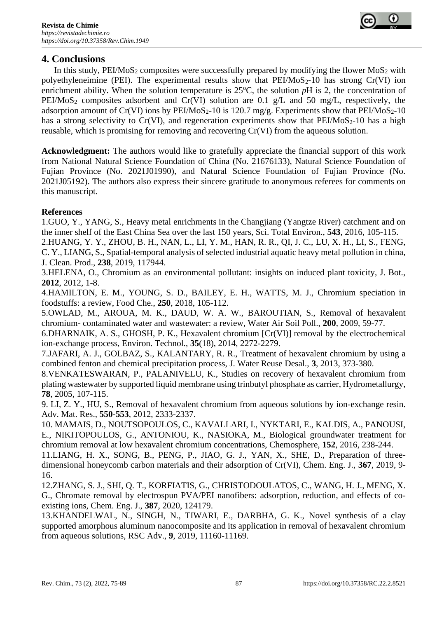

# **4. Conclusions**

In this study,  $PEIMoS<sub>2</sub>$  composites were successfully prepared by modifying the flower  $MoS<sub>2</sub>$  with polyethyleneimine (PEI). The experimental results show that  $PEI/MoS<sub>2</sub>$ -10 has strong Cr(VI) ion enrichment ability. When the solution temperature is  $25^{\circ}$ C, the solution  $pH$  is 2, the concentration of PEI/MoS<sub>2</sub> composites adsorbent and Cr(VI) solution are 0.1 g/L and 50 mg/L, respectively, the adsorption amount of Cr(VI) ions by PEI/MoS<sub>2</sub>-10 is 120.7 mg/g. Experiments show that PEI/MoS<sub>2</sub>-10 has a strong selectivity to Cr(VI), and regeneration experiments show that  $PEI/MoS<sub>2</sub>$ -10 has a high reusable, which is promising for removing and recovering Cr(VI) from the aqueous solution.

**Acknowledgment:** The authors would like to gratefully appreciate the financial support of this work from National Natural Science Foundation of China (No. 21676133), Natural Science Foundation of Fujian Province (No. 2021J01990), and Natural Science Foundation of Fujian Province (No. 2021J05192). The authors also express their sincere gratitude to anonymous referees for comments on this manuscript.

## **References**

1.GUO, Y., YANG, S., Heavy metal enrichments in the Changjiang (Yangtze River) catchment and on the inner shelf of the East China Sea over the last 150 years, Sci. Total Environ., **543**, 2016, 105-115.

2.HUANG, Y. Y., ZHOU, B. H., NAN, L., LI, Y. M., HAN, R. R., QI, J. C., LU, X. H., LI, S., FENG, C. Y., LIANG, S., Spatial-temporal analysis of selected industrial aquatic heavy metal pollution in china, J. Clean. Prod., **238**, 2019, 117944.

3.HELENA, O., Chromium as an environmental pollutant: insights on induced plant toxicity, J. Bot., **2012**, 2012, 1-8.

4.HAMILTON, E. M., YOUNG, S. D., BAILEY, E. H., WATTS, M. J., Chromium speciation in foodstuffs: a review, Food Che., **250**, 2018, 105-112.

5.OWLAD, M., AROUA, M. K., DAUD, W. A. W., BAROUTIAN, S., Removal of hexavalent chromium- contaminated water and wastewater: a review, Water Air Soil Poll., **200**, 2009, 59-77.

6.DHARNAIK, A. S., GHOSH, P. K., Hexavalent chromium [Cr(VI)] removal by the electrochemical ion-exchange process, Environ. Technol., **35**(18), 2014, 2272-2279.

7.JAFARI, A. J., GOLBAZ, S., KALANTARY, R. R., Treatment of hexavalent chromium by using a combined fenton and chemical precipitation process, J. Water Reuse Desal., **3**, 2013, 373-380.

8.VENKATESWARAN, P., PALANIVELU, K., Studies on recovery of hexavalent chromium from plating wastewater by supported liquid membrane using trinbutyl phosphate as carrier, Hydrometallurgy, **78**, 2005, 107-115.

9. LI, Z. Y., HU, S., Removal of hexavalent chromium from aqueous solutions by ion-exchange resin. Adv. Mat. Res., **550-553**, 2012, 2333-2337.

10. MAMAIS, D., NOUTSOPOULOS, C., KAVALLARI, I., NYKTARI, E., KALDIS, A., PANOUSI, E., NIKITOPOULOS, G., ANTONIOU, K., NASIOKA, M., Biological groundwater treatment for chromium removal at low hexavalent chromium concentrations, Chemosphere, **152**, 2016, 238-244.

11.LIANG, H. X., SONG, B., PENG, P., JIAO, G. J., YAN, X., SHE, D., Preparation of threedimensional honeycomb carbon materials and their adsorption of Cr(VI), Chem. Eng. J., **367**, 2019, 9- 16.

12.ZHANG, S. J., SHI, Q. T., KORFIATIS, G., CHRISTODOULATOS, C., WANG, H. J., MENG, X. G., Chromate removal by electrospun PVA/PEI nanofibers: adsorption, reduction, and effects of coexisting ions, Chem. Eng. J., **387**, 2020, 124179.

13.KHANDELWAL, N., SINGH, N., TIWARI, E., DARBHA, G. K., Novel synthesis of a clay supported amorphous aluminum nanocomposite and its application in removal of hexavalent chromium from aqueous solutions, RSC Adv., **9**, 2019, 11160-11169.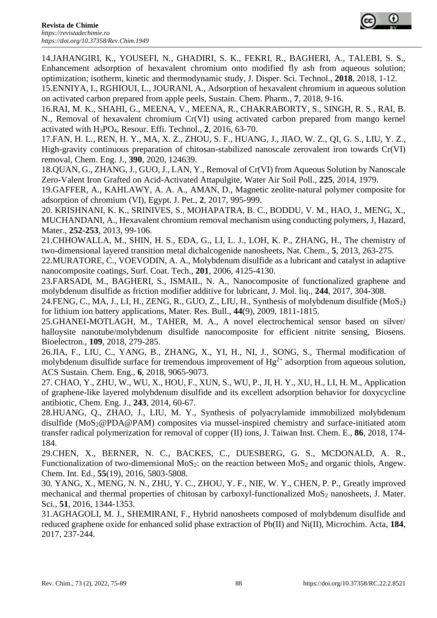

14.JAHANGIRI, K., YOUSEFI, N., GHADIRI, S. K., FEKRI, R., BAGHERI, A., TALEBI, S. S., Enhancement adsorption of hexavalent chromium onto modified fly ash from aqueous solution; optimization; isotherm, kinetic and thermodynamic study, J. Disper. Sci. Technol., **2018**, 2018, 1-12.

15.ENNIYA, I., RGHIOUI, L., JOURANI, A., Adsorption of hexavalent chromium in aqueous solution on activated carbon prepared from apple peels, Sustain. Chem. Pharm., **7**, 2018, 9-16.

16.RAI, M. K., SHAHI, G., MEENA, V., MEENA, R., CHAKRABORTY, S., SINGH, R. S., RAI, B. N., Removal of hexavalent chromium Cr(VI) using activated carbon prepared from mango kernel activated with H3PO4, Resour. Effi. Technol., **2**, 2016, 63-70.

17.FAN, H. L., REN, H. Y., MA, X. Z., ZHOU, S. F., HUANG, J., JIAO, W. Z., QI, G. S., LIU, Y. Z., High-gravity continuous preparation of chitosan-stabilized nanoscale zerovalent iron towards Cr(VI) removal, Chem. Eng. J., **390**, 2020, 124639.

18.QUAN, G., ZHANG, J., GUO, J., LAN, Y., Removal of Cr(VI) from Aqueous Solution by Nanoscale Zero-Valent Iron Grafted on Acid-Activated Attapulgite, Water Air Soil Poll., **225**, 2014, 1979.

19.GAFFER, A., KAHLAWY, A. A. A., AMAN, D., Magnetic zeolite-natural polymer composite for adsorption of chromium (VI), Egypt. J. Pet., **2**, 2017, 995-999.

20. KRISHNANI, K. K., SRINIVES, S., MOHAPATRA, B. C., BODDU, V. M., HAO, J., MENG, X., MUCHANDANI, A., Hexavalent chromium removal mechanism using conducting polymers, J, Hazard, Mater., **252-253**, 2013, 99-106.

21.CHHOWALLA, M., SHIN, H. S., EDA, G., LI, L. J., LOH, K. P., ZHANG, H., The chemistry of two-dimensional layered transition metal dichalcogenide nanosheets, Nat. Chem., **5**, 2013, 263-275.

22.MURATORE, C., VOEVODIN, A. A., Molybdenum disulfide as a lubricant and catalyst in adaptive nanocomposite coatings, Surf. Coat. Tech., **201**, 2006, 4125-4130.

23.FARSADI, M., BAGHERI, S., ISMAIL, N. A., Nanocomposite of functionalized graphene and molybdenum disulfide as friction modifier additive for lubricant, J. Mol. liq., **244**, 2017, 304-308.

24.FENG, C., MA, J., LI, H., ZENG, R., GUO, Z., LIU, H., Synthesis of molybdenum disulfide (MoS2) for lithium ion battery applications, Mater. Res. Bull., **44**(9), 2009, 1811-1815.

25.GHANEI-MOTLAGH, M., TAHER, M. A., A novel electrochemical sensor based on silver/ halloysite nanotube/molybdenum disulfide nanocomposite for efficient nitrite sensing, Biosens. Bioelectron., **109**, 2018, 279-285.

26.JIA, F., LIU, C., YANG, B., ZHANG, X., YI, H., NI, J., SONG, S., Thermal modification of molybdenum disulfide surface for tremendous improvement of  $Hg^{2+}$  adsorption from aqueous solution, ACS Sustain. Chem. Eng., **6**, 2018, 9065-9073.

27. CHAO, Y., ZHU, W., WU, X., HOU, F., XUN, S., WU, P., JI, H. Y., XU, H., LI, H. M., Application of graphene-like layered molybdenum disulfide and its excellent adsorption behavior for doxycycline antibiotic, Chem. Eng. J., **243**, 2014, 60-67.

28.HUANG, Q., ZHAO, J., LIU, M. Y., Synthesis of polyacrylamide immobilized molybdenum disulfide (MoS2@PDA@PAM) composites via mussel-inspired chemistry and surface-initiated atom transfer radical polymerization for removal of copper (II) ions, J. Taiwan Inst. Chem. E., **86**, 2018, 174- 184.

29.CHEN, X., BERNER, N. C., BACKES, C., DUESBERG, G. S., MCDONALD, A. R., Functionalization of two-dimensional MoS<sub>2</sub>: on the reaction between MoS<sub>2</sub> and organic thiols, Angew. Chem. Int. Ed., **55**(19), 2016, 5803-5808.

30. YANG, X., MENG, N. N., ZHU, Y. C., ZHOU, Y. F., NIE, W. Y., CHEN, P. P., Greatly improved mechanical and thermal properties of chitosan by carboxyl-functionalized  $MoS<sub>2</sub>$  nanosheets, J. Mater. Sci., **51**, 2016, 1344-1353.

31.AGHAGOLI, M. J., SHEMIRANI, F., Hybrid nanosheets composed of molybdenum disulfide and reduced graphene oxide for enhanced solid phase extraction of Pb(II) and Ni(II), Microchim. Acta, **184**, 2017, 237-244.